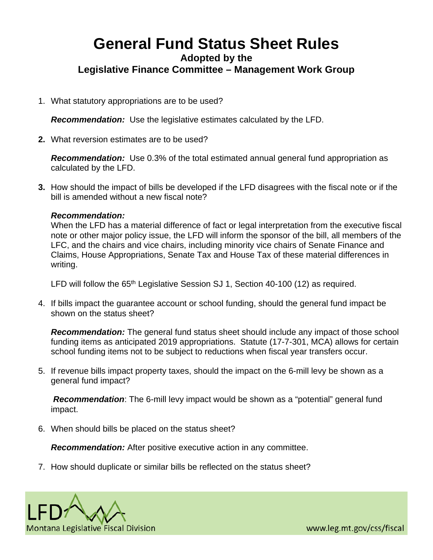## **General Fund Status Sheet Rules Adopted by the Legislative Finance Committee – Management Work Group**

1. What statutory appropriations are to be used?

*Recommendation:* Use the legislative estimates calculated by the LFD.

**2.** What reversion estimates are to be used?

*Recommendation:* Use 0.3% of the total estimated annual general fund appropriation as calculated by the LFD.

**3.** How should the impact of bills be developed if the LFD disagrees with the fiscal note or if the bill is amended without a new fiscal note?

## *Recommendation:*

When the LFD has a material difference of fact or legal interpretation from the executive fiscal note or other major policy issue, the LFD will inform the sponsor of the bill, all members of the LFC, and the chairs and vice chairs, including minority vice chairs of Senate Finance and Claims, House Appropriations, Senate Tax and House Tax of these material differences in writing.

LFD will follow the 65<sup>th</sup> Legislative Session SJ 1, Section 40-100 (12) as required.

4. If bills impact the guarantee account or school funding, should the general fund impact be shown on the status sheet?

*Recommendation:* The general fund status sheet should include any impact of those school funding items as anticipated 2019 appropriations. Statute (17-7-301, MCA) allows for certain school funding items not to be subject to reductions when fiscal year transfers occur.

5. If revenue bills impact property taxes, should the impact on the 6-mill levy be shown as a general fund impact?

*Recommendation*: The 6-mill levy impact would be shown as a "potential" general fund impact.

6. When should bills be placed on the status sheet?

*Recommendation:* After positive executive action in any committee.

7. How should duplicate or similar bills be reflected on the status sheet?



www.leg.mt.gov/css/fiscal